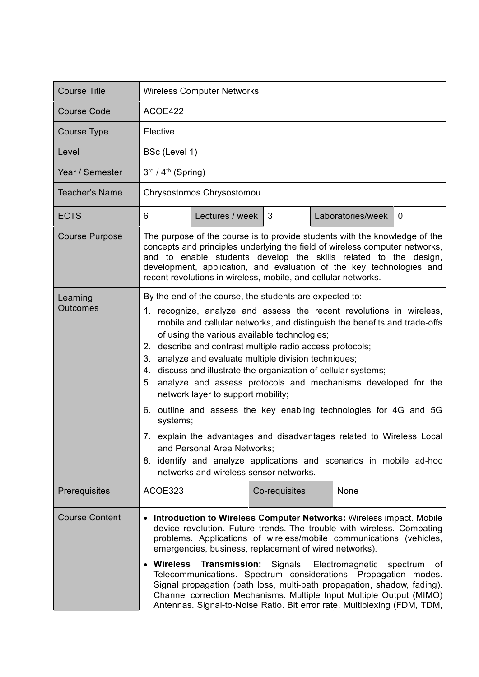| <b>Course Title</b>         | <b>Wireless Computer Networks</b>                                                                                                                                                                                                                                                                                                                                                                                                                                                                                                                                                                                                                                                                                                                                                                                                                                            |                 |               |  |                   |          |
|-----------------------------|------------------------------------------------------------------------------------------------------------------------------------------------------------------------------------------------------------------------------------------------------------------------------------------------------------------------------------------------------------------------------------------------------------------------------------------------------------------------------------------------------------------------------------------------------------------------------------------------------------------------------------------------------------------------------------------------------------------------------------------------------------------------------------------------------------------------------------------------------------------------------|-----------------|---------------|--|-------------------|----------|
| <b>Course Code</b>          | ACOE422                                                                                                                                                                                                                                                                                                                                                                                                                                                                                                                                                                                                                                                                                                                                                                                                                                                                      |                 |               |  |                   |          |
| <b>Course Type</b>          | Elective                                                                                                                                                                                                                                                                                                                                                                                                                                                                                                                                                                                                                                                                                                                                                                                                                                                                     |                 |               |  |                   |          |
| Level                       | BSc (Level 1)                                                                                                                                                                                                                                                                                                                                                                                                                                                                                                                                                                                                                                                                                                                                                                                                                                                                |                 |               |  |                   |          |
| Year / Semester             | 3rd / 4th (Spring)                                                                                                                                                                                                                                                                                                                                                                                                                                                                                                                                                                                                                                                                                                                                                                                                                                                           |                 |               |  |                   |          |
| <b>Teacher's Name</b>       | Chrysostomos Chrysostomou                                                                                                                                                                                                                                                                                                                                                                                                                                                                                                                                                                                                                                                                                                                                                                                                                                                    |                 |               |  |                   |          |
| <b>ECTS</b>                 | 6                                                                                                                                                                                                                                                                                                                                                                                                                                                                                                                                                                                                                                                                                                                                                                                                                                                                            | Lectures / week | $\mathbf{3}$  |  | Laboratories/week | $\Omega$ |
| <b>Course Purpose</b>       | The purpose of the course is to provide students with the knowledge of the<br>concepts and principles underlying the field of wireless computer networks,<br>and to enable students develop the skills related to the design,<br>development, application, and evaluation of the key technologies and<br>recent revolutions in wireless, mobile, and cellular networks.                                                                                                                                                                                                                                                                                                                                                                                                                                                                                                      |                 |               |  |                   |          |
| Learning<br><b>Outcomes</b> | By the end of the course, the students are expected to:<br>1. recognize, analyze and assess the recent revolutions in wireless,<br>mobile and cellular networks, and distinguish the benefits and trade-offs<br>of using the various available technologies;<br>2. describe and contrast multiple radio access protocols;<br>3. analyze and evaluate multiple division techniques;<br>4. discuss and illustrate the organization of cellular systems;<br>analyze and assess protocols and mechanisms developed for the<br>5.<br>network layer to support mobility;<br>6. outline and assess the key enabling technologies for 4G and 5G<br>systems;<br>7. explain the advantages and disadvantages related to Wireless Local<br>and Personal Area Networks;<br>8. identify and analyze applications and scenarios in mobile ad-hoc<br>networks and wireless sensor networks. |                 |               |  |                   |          |
| Prerequisites               | ACOE323                                                                                                                                                                                                                                                                                                                                                                                                                                                                                                                                                                                                                                                                                                                                                                                                                                                                      |                 | Co-requisites |  | None              |          |
| <b>Course Content</b>       | • Introduction to Wireless Computer Networks: Wireless impact. Mobile<br>device revolution. Future trends. The trouble with wireless. Combating<br>problems. Applications of wireless/mobile communications (vehicles,<br>emergencies, business, replacement of wired networks).<br><b>Wireless</b><br>Transmission:<br>Signals. Electromagnetic<br>spectrum<br>ot<br>$\bullet$<br>Telecommunications. Spectrum considerations. Propagation modes.<br>Signal propagation (path loss, multi-path propagation, shadow, fading).<br>Channel correction Mechanisms. Multiple Input Multiple Output (MIMO)<br>Antennas. Signal-to-Noise Ratio. Bit error rate. Multiplexing (FDM, TDM,                                                                                                                                                                                            |                 |               |  |                   |          |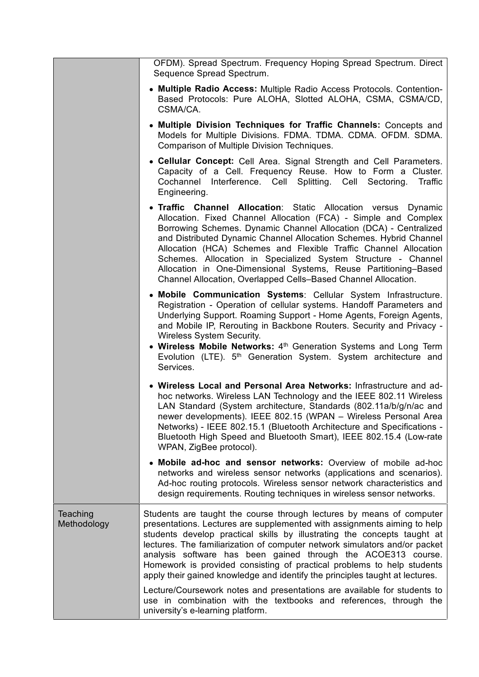|                         | OFDM). Spread Spectrum. Frequency Hoping Spread Spectrum. Direct<br>Sequence Spread Spectrum.                                                                                                                                                                                                                                                                                                                                                                                                                                                          |
|-------------------------|--------------------------------------------------------------------------------------------------------------------------------------------------------------------------------------------------------------------------------------------------------------------------------------------------------------------------------------------------------------------------------------------------------------------------------------------------------------------------------------------------------------------------------------------------------|
|                         | • Multiple Radio Access: Multiple Radio Access Protocols. Contention-<br>Based Protocols: Pure ALOHA, Slotted ALOHA, CSMA, CSMA/CD,<br>CSMA/CA.                                                                                                                                                                                                                                                                                                                                                                                                        |
|                         | • Multiple Division Techniques for Traffic Channels: Concepts and<br>Models for Multiple Divisions. FDMA. TDMA. CDMA. OFDM. SDMA.<br>Comparison of Multiple Division Techniques.                                                                                                                                                                                                                                                                                                                                                                       |
|                         | • Cellular Concept: Cell Area. Signal Strength and Cell Parameters.<br>Capacity of a Cell. Frequency Reuse. How to Form a Cluster.<br>Cochannel Interference. Cell Splitting. Cell Sectoring.<br>Traffic<br>Engineering.                                                                                                                                                                                                                                                                                                                               |
|                         | • Traffic Channel Allocation: Static Allocation versus Dynamic<br>Allocation. Fixed Channel Allocation (FCA) - Simple and Complex<br>Borrowing Schemes. Dynamic Channel Allocation (DCA) - Centralized<br>and Distributed Dynamic Channel Allocation Schemes. Hybrid Channel<br>Allocation (HCA) Schemes and Flexible Traffic Channel Allocation<br>Schemes. Allocation in Specialized System Structure - Channel<br>Allocation in One-Dimensional Systems, Reuse Partitioning–Based<br>Channel Allocation, Overlapped Cells-Based Channel Allocation. |
|                         | • Mobile Communication Systems: Cellular System Infrastructure.<br>Registration - Operation of cellular systems. Handoff Parameters and<br>Underlying Support. Roaming Support - Home Agents, Foreign Agents,<br>and Mobile IP, Rerouting in Backbone Routers. Security and Privacy -<br><b>Wireless System Security.</b><br>• Wireless Mobile Networks: 4 <sup>th</sup> Generation Systems and Long Term<br>Evolution (LTE). 5 <sup>th</sup> Generation System. System architecture and<br>Services.                                                  |
|                         | • Wireless Local and Personal Area Networks: Infrastructure and ad-<br>hoc networks. Wireless LAN Technology and the IEEE 802.11 Wireless<br>LAN Standard (System architecture, Standards (802.11a/b/g/n/ac and<br>newer developments). IEEE 802.15 (WPAN - Wireless Personal Area<br>Networks) - IEEE 802.15.1 (Bluetooth Architecture and Specifications -<br>Bluetooth High Speed and Bluetooth Smart), IEEE 802.15.4 (Low-rate<br>WPAN, ZigBee protocol).                                                                                          |
|                         | • Mobile ad-hoc and sensor networks: Overview of mobile ad-hoc<br>networks and wireless sensor networks (applications and scenarios).<br>Ad-hoc routing protocols. Wireless sensor network characteristics and<br>design requirements. Routing techniques in wireless sensor networks.                                                                                                                                                                                                                                                                 |
| Teaching<br>Methodology | Students are taught the course through lectures by means of computer<br>presentations. Lectures are supplemented with assignments aiming to help<br>students develop practical skills by illustrating the concepts taught at<br>lectures. The familiarization of computer network simulators and/or packet<br>analysis software has been gained through the ACOE313 course.<br>Homework is provided consisting of practical problems to help students<br>apply their gained knowledge and identify the principles taught at lectures.                  |
|                         | Lecture/Coursework notes and presentations are available for students to<br>use in combination with the textbooks and references, through the<br>university's e-learning platform.                                                                                                                                                                                                                                                                                                                                                                     |